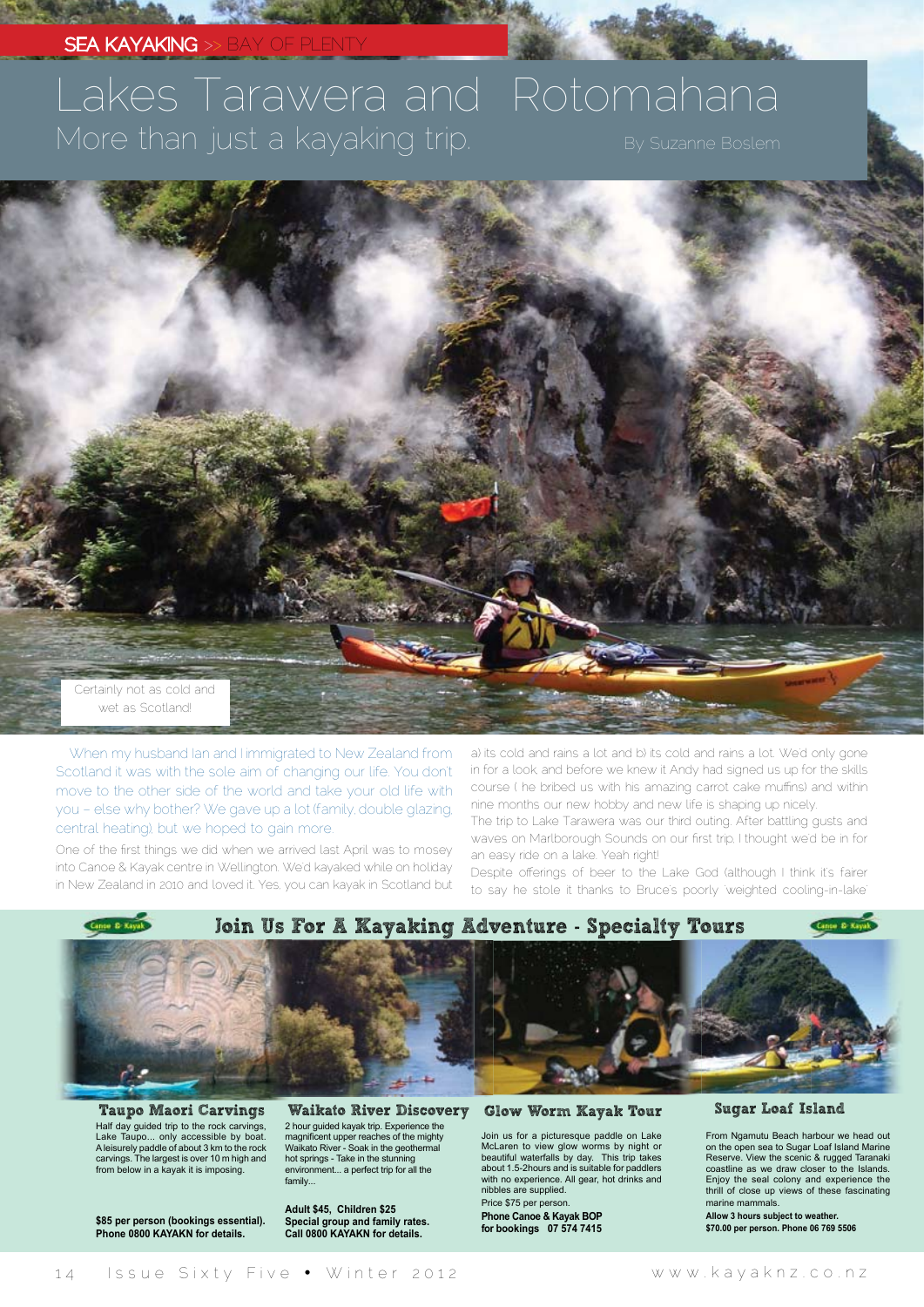### **SEA KAYAKING** >> BAY (

# Lakes Tarawera and Rotomahana More than just a kayaking trip. By Suzanne Boslem



When my husband Ian and I immigrated to New Zealand from Scotland it was with the sole aim of changing our life. You don't move to the other side of the world and take your old life with you – else why bother? We gave up a lot (family, double glazing, central heating), but we hoped to gain more.

One of the first things we did when we arrived last April was to mosey into Canoe & Kayak centre in Wellington. We'd kayaked while on holiday in New Zealand in 2010 and loved it. Yes, you can kayak in Scotland but a) its cold and rains a lot and b) its cold and rains a lot. We'd only gone in for a look, and before we knew it Andy had signed us up for the skills course ( he bribed us with his amazing carrot cake muffins) and within nine months our new hobby and new life is shaping up nicely.

The trip to Lake Tarawera was our third outing. After battling gusts and waves on Marlborough Sounds on our first trip, I thought we'd be in for an easy ride on a lake. Yeah right!

Despite offerings of beer to the Lake God (although I think it's fairer to say he stole it thanks to Bruce's poorly 'weighted cooling-in-lake'



Half day guided trip to the rock carvings, Lake Taupo... only accessible by boat. A leisurely paddle of about 3 km to the rock carvings. The largest is over 10 m high and from below in a kayak it is imposing. Taupo Maori Carvings Waikato River Discovery

**\$85 per person (bookings essential). Phone 0800 KAYAKN for details.**

2 hour guided kayak trip. Experience the<br>magnificent upper reaches of the mighty<br>Waikato River - Soak in the geothermal hot springs - Take in the stunning environment... a perfect trip for all the family...

**Adult \$45, Children \$25 Special group and family rates. Call 0800 KAYAKN for details.**

#### Glow Worm Kayak Tour

Join us for a picturesque paddle on Lake McLaren to view glow worms by night or beautiful waterfalls by day. This trip takes about 1.5-2hours and is suitable for paddlers with no experience. All gear, hot drinks and nibbles are supplied.

Price \$75 per person. **Phone Canoe & Kayak BOP for bookings 07 574 7415**

#### Sugar Loaf Island

From Ngamutu Beach harbour we head out on the open sea to Sugar Loaf Island Marine Reserve. View the scenic & rugged Taranaki coastline as we draw closer to the Islands. Enjoy the seal colony and experience the thrill of close up views of these fascinating marine mammals.

**Allow 3 hours subject to weather. \$70.00 per person. Phone 06 769 5506**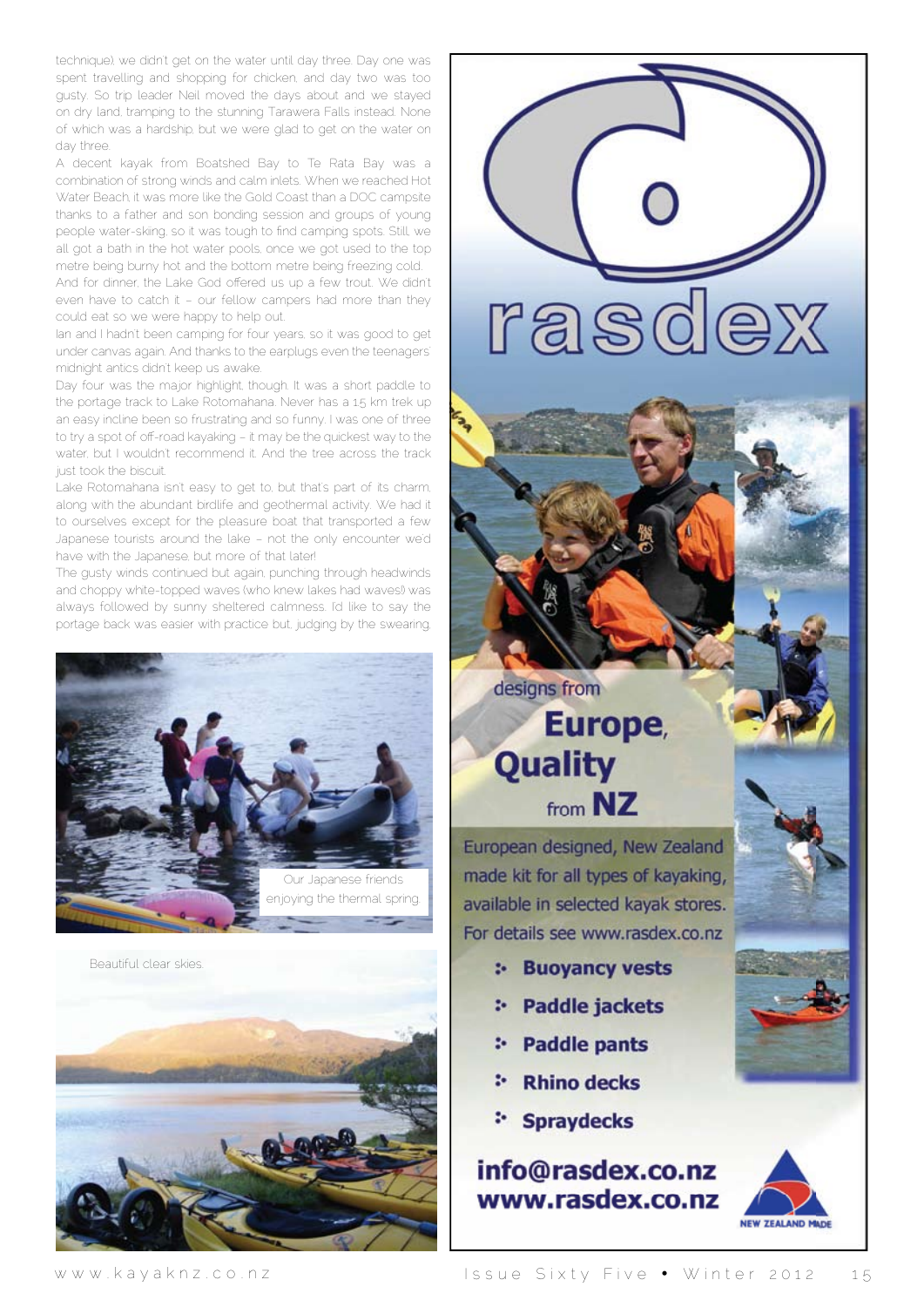technique), we didn't get on the water until day three. Day one was spent travelling and shopping for chicken, and day two was too gusty. So trip leader Neil moved the days about and we stayed on dry land, tramping to the stunning Tarawera Falls instead. None of which was a hardship, but we were glad to get on the water on day three.

A decent kayak from Boatshed Bay to Te Rata Bay was a combination of strong winds and calm inlets. When we reached Hot Water Beach, it was more like the Gold Coast than a DOC campsite thanks to a father and son bonding session and groups of young people water-skiing, so it was tough to find camping spots. Still, we all got a bath in the hot water pools, once we got used to the top metre being burny hot and the bottom metre being freezing cold.

And for dinner, the Lake God offered us up a few trout. We didn't even have to catch it – our fellow campers had more than they could eat so we were happy to help out.

Ian and I hadn't been camping for four years, so it was good to get under canvas again. And thanks to the earplugs even the teenagers' midnight antics didn't keep us awake.

Day four was the major highlight, though. It was a short paddle to the portage track to Lake Rotomahana. Never has a 1.5 km trek up an easy incline been so frustrating and so funny. I was one of three to try a spot of off-road kayaking - it may be the quickest way to the water, but I wouldn't recommend it. And the tree across the track just took the biscuit.

Lake Rotomahana isn't easy to get to, but that's part of its charm, along with the abundant birdlife and geothermal activity. We had it to ourselves except for the pleasure boat that transported a few Japanese tourists around the lake – not the only encounter we'd have with the Japanese, but more of that later!

The gusty winds continued but again, punching through headwinds and choppy white-topped waves (who knew lakes had waves!) was always followed by sunny sheltered calmness. I'd like to say the portage back was easier with practice but, judging by the swearing,



Beautiful clear skies.



rasdex

## designs from Europe, **Quality** from NZ

European designed, New Zealand made kit for all types of kayaking, available in selected kayak stores. For details see www.rasdex.co.nz

- **:- Buoyancy vests**
- \* Paddle jackets
- : Paddle pants
- **Rhino decks**
- **Spraydecks**

### info@rasdex.co.nz www.rasdex.co.nz

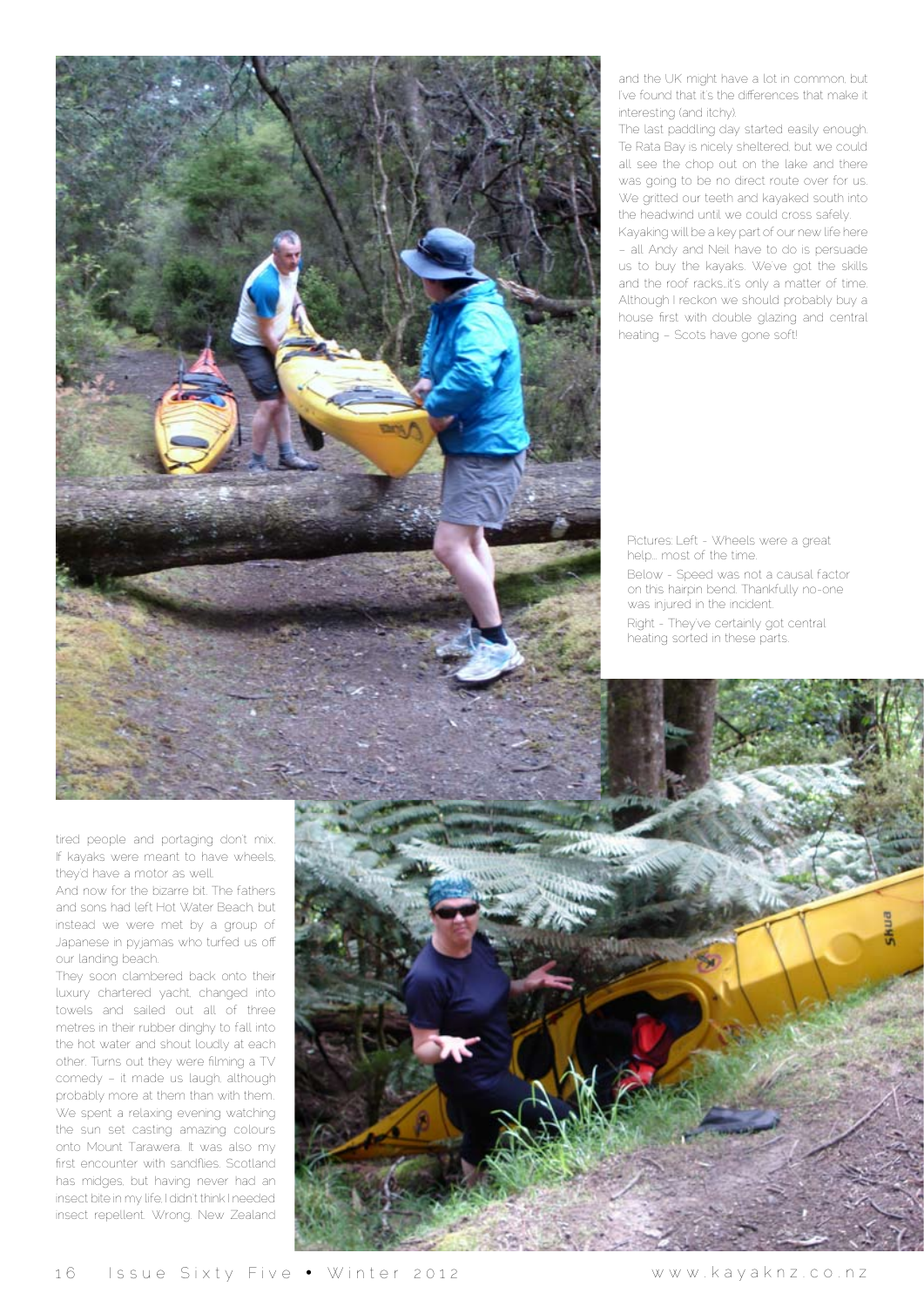

and the UK might have a lot in common, but I've found that it's the differences that make it interesting (and itchy).

The last paddling day started easily enough. Te Rata Bay is nicely sheltered, but we could all see the chop out on the lake and there was going to be no direct route over for us. We gritted our teeth and kayaked south into the headwind until we could cross safely.

Kayaking will be a key part of our new life here – all Andy and Neil have to do is persuade us to buy the kayaks. We've got the skills and the roof racks…it's only a matter of time. Although I reckon we should probably buy a house first with double glazing and central heating – Scots have gone soft!

Pictures: Left - Wheels were a great help... most of the time. Below - Speed was not a causal factor on this hairpin bend. Thankfully no-one was injured in the incident. Right - They've certainly got central

heating sorted in these parts.

tired people and portaging don't mix. If kayaks were meant to have wheels, they'd have a motor as well.

And now for the bizarre bit. The fathers and sons had left Hot Water Beach, but instead we were met by a group of Japanese in pyjamas who turfed us off our landing beach.

They soon clambered back onto their luxury chartered yacht, changed into towels and sailed out all of three metres in their rubber dinghy to fall into the hot water and shout loudly at each other. Turns out they were filming a TV comedy – it made us laugh, although probably more at them than with them. We spent a relaxing evening watching the sun set casting amazing colours onto Mount Tarawera. It was also my first encounter with sandflies. Scotland has midges, but having never had an insect bite in my life, I didn't think I needed insect repellent. Wrong. New Zealand